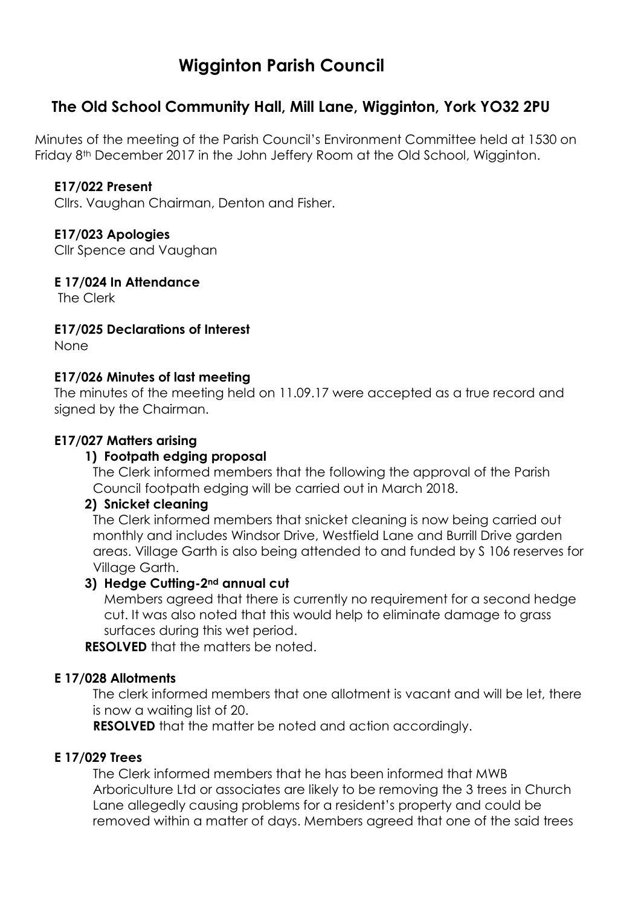# **Wigginton Parish Council**

# **The Old School Community Hall, Mill Lane, Wigginton, York YO32 2PU**

Minutes of the meeting of the Parish Council's Environment Committee held at 1530 on Friday 8th December 2017 in the John Jeffery Room at the Old School, Wigginton.

### **E17/022 Present**

Cllrs. Vaughan Chairman, Denton and Fisher.

# **E17/023 Apologies**

Cllr Spence and Vaughan

**E 17/024 In Attendance**

The Clerk

**E17/025 Declarations of Interest**

None

#### **E17/026 Minutes of last meeting**

The minutes of the meeting held on 11.09.17 were accepted as a true record and signed by the Chairman.

#### **E17/027 Matters arising**

### **1) Footpath edging proposal**

The Clerk informed members that the following the approval of the Parish Council footpath edging will be carried out in March 2018.

#### **2) Snicket cleaning**

The Clerk informed members that snicket cleaning is now being carried out monthly and includes Windsor Drive, Westfield Lane and Burrill Drive garden areas. Village Garth is also being attended to and funded by S 106 reserves for Village Garth.

#### **3) Hedge Cutting-2nd annual cut**

Members agreed that there is currently no requirement for a second hedge cut. It was also noted that this would help to eliminate damage to grass surfaces during this wet period.

**RESOLVED** that the matters be noted.

#### **E 17/028 Allotments**

The clerk informed members that one allotment is vacant and will be let, there is now a waiting list of 20.

**RESOLVED** that the matter be noted and action accordingly.

# **E 17/029 Trees**

The Clerk informed members that he has been informed that MWB Arboriculture Ltd or associates are likely to be removing the 3 trees in Church Lane allegedly causing problems for a resident's property and could be removed within a matter of days. Members agreed that one of the said trees